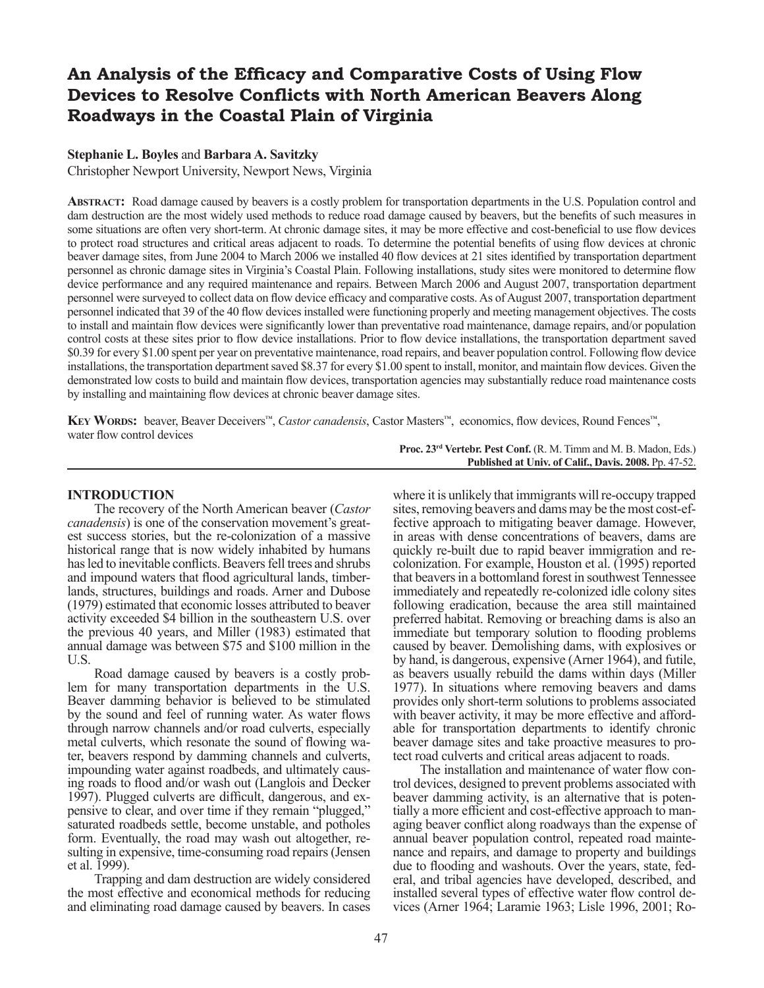# **An Analysis of the Efficacy and Comparative Costs of Using Flow Devices to Resolve Conflicts with North American Beavers Along Roadways in the Coastal Plain of Virginia**

# **Stephanie L. Boyles** and **Barbara A. Savitzky**

Christopher Newport University, Newport News, Virginia

**Abstract:** Road damage caused by beavers is a costly problem for transportation departments in the U.S. Population control and dam destruction are the most widely used methods to reduce road damage caused by beavers, but the benefits of such measures in some situations are often very short-term. At chronic damage sites, it may be more effective and cost-beneficial to use flow devices to protect road structures and critical areas adjacent to roads. To determine the potential benefits of using flow devices at chronic beaver damage sites, from June 2004 to March 2006 we installed 40 flow devices at 21 sites identified by transportation department personnel as chronic damage sites in Virginia's Coastal Plain. Following installations, study sites were monitored to determine flow device performance and any required maintenance and repairs. Between March 2006 and August 2007, transportation department personnel were surveyed to collect data on flow device efficacy and comparative costs. As of August 2007, transportation department personnel indicated that 39 of the 40 flow devices installed were functioning properly and meeting management objectives. The costs to install and maintain flow devices were significantly lower than preventative road maintenance, damage repairs, and/or population control costs at these sites prior to flow device installations. Prior to flow device installations, the transportation department saved \$0.39 for every \$1.00 spent per year on preventative maintenance, road repairs, and beaver population control. Following flow device installations, the transportation department saved \$8.37 for every \$1.00 spent to install, monitor, and maintain flow devices. Given the demonstrated low costs to build and maintain flow devices, transportation agencies may substantially reduce road maintenance costs by installing and maintaining flow devices at chronic beaver damage sites.

**Key Words:** beaver, Beaver Deceivers™, *Castor canadensis*, Castor Masters™, economics, flow devices, Round Fences™, water flow control devices

> Proc. 23<sup>rd</sup> Vertebr. Pest Conf. (R. M. Timm and M. B. Madon, Eds.) **Published at Univ. of Calif., Davis. 2008.** Pp. 47-52.

## **INTRODUCTION**

The recovery of the North American beaver (*Castor canadensis*) is one of the conservation movement's greatest success stories, but the re-colonization of a massive historical range that is now widely inhabited by humans has led to inevitable conflicts. Beavers fell trees and shrubs and impound waters that flood agricultural lands, timberlands, structures, buildings and roads. Arner and Dubose (1979) estimated that economic losses attributed to beaver activity exceeded \$4 billion in the southeastern U.S. over the previous 40 years, and Miller (1983) estimated that annual damage was between \$75 and \$100 million in the U.S.

Road damage caused by beavers is a costly problem for many transportation departments in the U.S. Beaver damming behavior is believed to be stimulated by the sound and feel of running water. As water flows through narrow channels and/or road culverts, especially metal culverts, which resonate the sound of flowing water, beavers respond by damming channels and culverts, ing roads to flood and/or wash out (Langlois and Decker 1997). Plugged culverts are difficult, dangerous, and ex- pensive to clear, and over time if they remain "plugged," saturated roadbeds settle, become unstable, and potholes form. Eventually, the road may wash out altogether, resulting in expensive, time-consuming road repairs (Jensen et al. 1999).

Trapping and dam destruction are widely considered the most effective and economical methods for reducing and eliminating road damage caused by beavers. In cases

where it is unlikely that immigrants will re-occupy trapped sites, removing beavers and dams may be the most cost-ef- fective approach to mitigating beaver damage. However, in areas with dense concentrations of beavers, dams are quickly re-built due to rapid beaver immigration and recolonization. For example, Houston et al. (1995) reported that beavers in a bottomland forest in southwest Tennessee immediately and repeatedly re-colonized idle colony sites following eradication, because the area still maintained preferred habitat. Removing or breaching dams is also an immediate but temporary solution to flooding problems caused by beaver. Demolishing dams, with explosives or by hand, is dangerous, expensive (Arner 1964), and futile, as beavers usually rebuild the dams within days (Miller 1977). In situations where removing beavers and dams provides only short-term solutions to problems associated with beaver activity, it may be more effective and afford-<br>able for transportation departments to identify chronic beaver damage sites and take proactive measures to pro- tect road culverts and critical areas adjacent to roads.

The installation and maintenance of water flow con- trol devices, designed to prevent problems associated with beaver damming activity, is an alternative that is potentially a more efficient and cost-effective approach to managing beaver conflict along roadways than the expense of annual beaver population control, repeated road maintenance and repairs, and damage to property and buildings due to flooding and washouts. Over the years, state, federal, and tribal agencies have developed, described, and installed several types of effective water flow control devices (Arner 1964; Laramie 1963; Lisle 1996, 2001; Ro-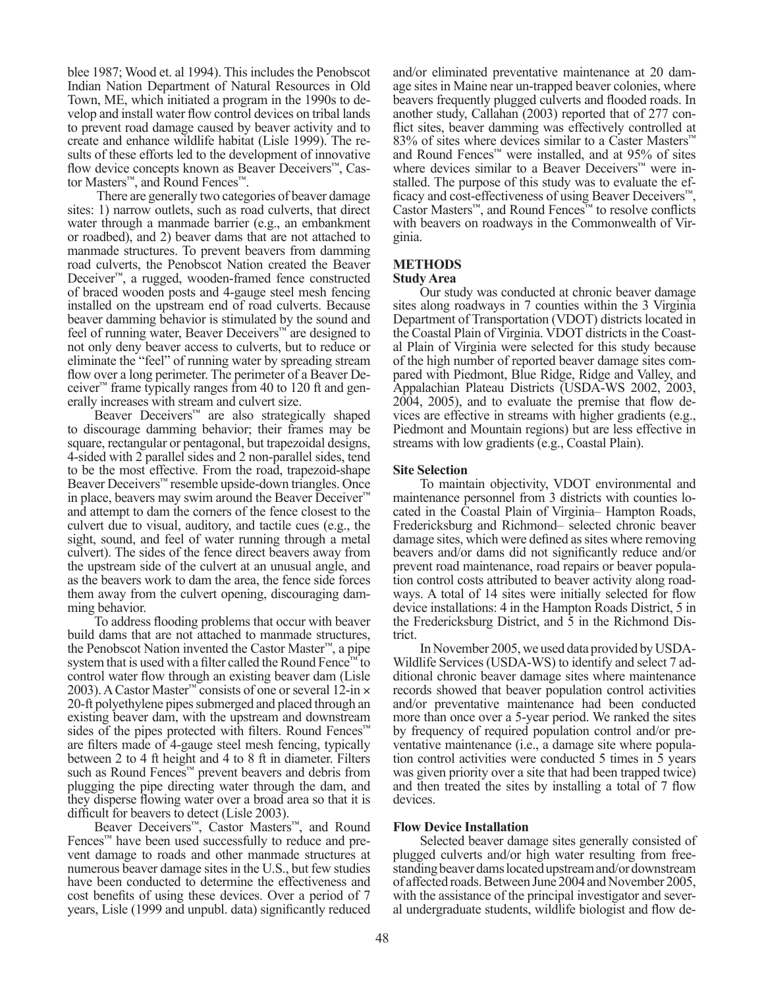blee 1987; Wood et. al 1994). This includes the Penobscot Indian Nation Department of Natural Resources in Old Town, ME, which initiated a program in the 1990s to develop and install water flow control devices on tribal lands to prevent road damage caused by beaver activity and to create and enhance wildlife habitat (Lisle 1999). The results of these efforts led to the development of innovative flow device concepts known as Beaver Deceivers™, Castor Masters™, and Round Fences™.

 There are generally two categories of beaver damage sites: 1) narrow outlets, such as road culverts, that direct water through a manmade barrier (e.g., an embankment or roadbed), and 2) beaver dams that are not attached to manmade structures. To prevent beavers from damming road culverts, the Penobscot Nation created the Beaver Deceiver™, a rugged, wooden-framed fence constructed of braced wooden posts and 4-gauge steel mesh fencing installed on the upstream end of road culverts. Because beaver damming behavior is stimulated by the sound and feel of running water, Beaver Deceivers™ are designed to not only deny beaver access to culverts, but to reduce or eliminate the "feel" of running water by spreading stream flow over a long perimeter. The perimeter of a Beaver Deceiver<sup>™</sup> frame typically ranges from 40 to 120 ft and generally increases with stream and culvert size.

Beaver Deceivers™ are also strategically shaped to discourage damming behavior; their frames may be square, rectangular or pentagonal, but trapezoidal designs, 4-sided with 2 parallel sides and 2 non-parallel sides, tend to be the most effective. From the road, trapezoid-shape Beaver Deceivers™ resemble upside-down triangles. Once in place, beavers may swim around the Beaver Deceiver™ and attempt to dam the corners of the fence closest to the culvert due to visual, auditory, and tactile cues (e.g., the sight, sound, and feel of water running through a metal culvert). The sides of the fence direct beavers away from the upstream side of the culvert at an unusual angle, and as the beavers work to dam the area, the fence side forces them away from the culvert opening, discouraging dam- ming behavior.

To address flooding problems that occur with beaver build dams that are not attached to manmade structures, the Penobscot Nation invented the Castor Master™, a pipe system that is used with a filter called the Round Fence<sup>™</sup> to control water flow through an existing beaver dam (Lisle 2003). A Castor Master™ consists of one or several 12-in × 20-ft polyethylene pipes submerged and placed through an existing beaver dam, with the upstream and downstream sides of the pipes protected with filters. Round Fences™ are filters made of 4-gauge steel mesh fencing, typically between 2 to 4 ft height and 4 to 8 ft in diameter. Filters such as Round Fences<sup>™</sup> prevent beavers and debris from plugging the pipe directing water through the dam, and they disperse flowing water over a broad area so that it is difficult for beavers to detect (Lisle 2003).

Beaver Deceivers™, Castor Masters™, and Round Fences™ have been used successfully to reduce and prevent damage to roads and other manmade structures at numerous beaver damage sites in the U.S., but few studies have been conducted to determine the effectiveness and cost benefits of using these devices. Over a period of 7 years, Lisle (1999 and unpubl. data) significantly reduced

and/or eliminated preventative maintenance at 20 damage sites in Maine near un-trapped beaver colonies, where beavers frequently plugged culverts and flooded roads. In another study, Callahan (2003) reported that of 277 conflict sites, beaver damming was effectively controlled at 83% of sites where devices similar to a Caster Masters™ and Round Fences™ were installed, and at  $95\%$  of sites where devices similar to a Beaver Deceivers™ were installed. The purpose of this study was to evaluate the efficacy and cost-effectiveness of using Beaver Deceivers™, Castor Masters™, and Round Fences™ to resolve conflicts with beavers on roadways in the Commonwealth of Virginia.

#### **METHODS Study Area**

Our study was conducted at chronic beaver damage sites along roadways in 7 counties within the 3 Virginia Department of Transportation (VDOT) districts located in the Coastal Plain of Virginia. VDOT districts in the Coastal Plain of Virginia were selected for this study because of the high number of reported beaver damage sites compared with Piedmont, Blue Ridge, Ridge and Valley, and Appalachian Plateau Districts (USDA-WS 2002, 2003, 2004, 2005), and to evaluate the premise that flow devices are effective in streams with higher gradients (e.g., Piedmont and Mountain regions) but are less effective in streams with low gradients (e.g., Coastal Plain).

# **Site Selection**

To maintain objectivity, VDOT environmental and maintenance personnel from 3 districts with counties located in the Coastal Plain of Virginia– Hampton Roads, Fredericksburg and Richmond– selected chronic beaver damage sites, which were defined as sites where removing beavers and/or dams did not significantly reduce and/or prevent road maintenance, road repairs or beaver population control costs attributed to beaver activity along road- ways. A total of 14 sites were initially selected for flow device installations: 4 in the Hampton Roads District, 5 in the Fredericksburg District, and 5 in the Richmond Dis- trict.

In November 2005, we used data provided by USDA-Wildlife Services (USDA-WS) to identify and select 7 additional chronic beaver damage sites where maintenance records showed that beaver population control activities and/or preventative maintenance had been conducted more than once over a 5-year period. We ranked the sites by frequency of required population control and/or preventative maintenance (i.e., a damage site where population control activities were conducted 5 times in 5 years was given priority over a site that had been trapped twice) and then treated the sites by installing a total of 7 flow devices.

# **Flow Device Installation**

Selected beaver damage sites generally consisted of plugged culverts and/or high water resulting from freestanding beaver dams located upstream and/or downstream of affected roads. Between June 2004 and November 2005, with the assistance of the principal investigator and several undergraduate students, wildlife biologist and flow de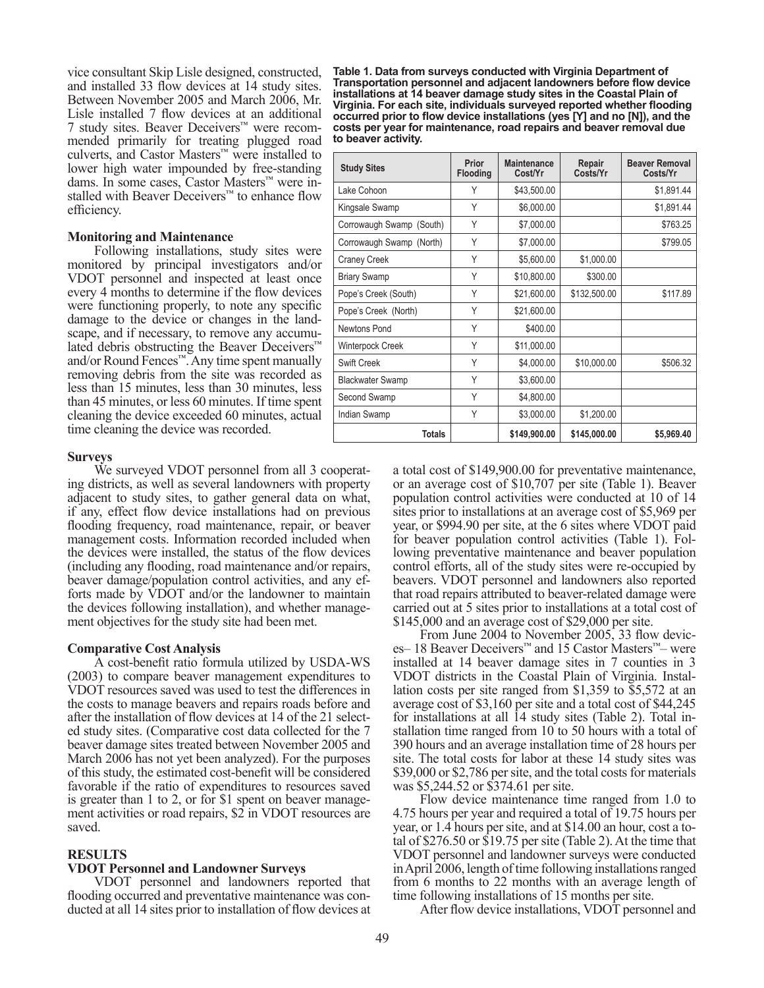vice consultant Skip Lisle designed, constructed, and installed 33 flow devices at 14 study sites. Between November 2005 and March 2006, Mr. Lisle installed 7 flow devices at an additional 7 study sites. Beaver Deceivers™ were recommended primarily for treating plugged road culverts, and Castor Masters™ were installed to lower high water impounded by free-standing dams. In some cases, Castor Masters™ were installed with Beaver Deceivers™ to enhance flow efficiency.

#### **Monitoring and Maintenance**

Following installations, study sites were monitored by principal investigators and/or VDOT personnel and inspected at least once every 4 months to determine if the flow devices were functioning properly, to note any specific damage to the device or changes in the landscape, and if necessary, to remove any accumulated debris obstructing the Beaver Deceivers™ and/or Round Fences™. Any time spent manually removing debris from the site was recorded as less than 15 minutes, less than 30 minutes, less than 45 minutes, or less 60 minutes. If time spent cleaning the device exceeded 60 minutes, actual time cleaning the device was recorded.

#### **Surveys**

We surveyed VDOT personnel from all 3 cooperating districts, as well as several landowners with property adjacent to study sites, to gather general data on what, if any, effect flow device installations had on previous flooding frequency, road maintenance, repair, or beaver management costs. Information recorded included when the devices were installed, the status of the flow devices (including any flooding, road maintenance and/or repairs, beaver damage/population control activities, and any ef- forts made by VDOT and/or the landowner to maintain the devices following installation), and whether manage- ment objectives for the study site had been met.

#### **Comparative Cost Analysis**

A cost-benefit ratio formula utilized by USDA-WS (2003) to compare beaver management expenditures to VDOT resources saved was used to test the differences in the costs to manage beavers and repairs roads before and after the installation of flow devices at 14 of the 21 selected study sites. (Comparative cost data collected for the 7 beaver damage sites treated between November 2005 and March 2006 has not yet been analyzed). For the purposes of this study, the estimated cost-benefit will be considered favorable if the ratio of expenditures to resources saved is greater than 1 to 2, or for \$1 spent on beaver manage- ment activities or road repairs, \$2 in VDOT resources are saved.

## **RESULTS**

#### **VDOT Personnel and Landowner Surveys**

VDOT personnel and landowners reported that flooding occurred and preventative maintenance was conducted at all 14 sites prior to installation of flow devices at

**Table 1. Data from surveys conducted with Virginia Department of Transportation personnel and adjacent landowners before flow device installations at 14 beaver damage study sites in the Coastal Plain of Virginia. For each site, individuals surveyed reported whether flooding occurred prior to flow device installations (yes [Y] and no [N]), and the costs per year for maintenance, road repairs and beaver removal due to beaver activity.**

| <b>Study Sites</b>       | Prior<br>Flooding | <b>Maintenance</b><br>Cost/Yr | Repair<br>Costs/Yr | <b>Beaver Removal</b><br>Costs/Yr |
|--------------------------|-------------------|-------------------------------|--------------------|-----------------------------------|
| Lake Cohoon              | Υ                 | \$43,500.00                   |                    | \$1,891.44                        |
| Kingsale Swamp           | Y                 | \$6,000.00                    |                    | \$1,891.44                        |
| Corrowaugh Swamp (South) | Υ                 | \$7,000.00                    |                    | \$763.25                          |
| Corrowaugh Swamp (North) | Υ                 | \$7,000.00                    |                    | \$799.05                          |
| <b>Craney Creek</b>      | Υ                 | \$5,600.00                    | \$1,000.00         |                                   |
| <b>Briary Swamp</b>      | Y                 | \$10,800.00                   | \$300.00           |                                   |
| Pope's Creek (South)     | Y                 | \$21,600.00                   | \$132,500.00       | \$117.89                          |
| Pope's Creek (North)     | Υ                 | \$21,600.00                   |                    |                                   |
| Newtons Pond             | Y                 | \$400.00                      |                    |                                   |
| Winterpock Creek         | Y                 | \$11,000.00                   |                    |                                   |
| Swift Creek              | Y                 | \$4,000.00                    | \$10,000.00        | \$506.32                          |
| <b>Blackwater Swamp</b>  | Υ                 | \$3,600.00                    |                    |                                   |
| Second Swamp             | Υ                 | \$4,800.00                    |                    |                                   |
| Indian Swamp             | Υ                 | \$3,000.00                    | \$1,200.00         |                                   |
| <b>Totals</b>            |                   | \$149,900.00                  | \$145,000.00       | \$5,969.40                        |

a total cost of \$149,900.00 for preventative maintenance, or an average cost of \$10,707 per site (Table 1). Beaver population control activities were conducted at 10 of 14 sites prior to installations at an average cost of \$5,969 per year, or \$994.90 per site, at the 6 sites where VDOT paid for beaver population control activities (Table 1). Following preventative maintenance and beaver population control efforts, all of the study sites were re-occupied by beavers. VDOT personnel and landowners also reported that road repairs attributed to beaver-related damage were carried out at 5 sites prior to installations at a total cost of \$145,000 and an average cost of \$29,000 per site.

From June 2004 to November 2005, 33 flow devic- es– 18 Beaver Deceivers™ and 15 Castor Masters™– were installed at 14 beaver damage sites in 7 counties in 3 VDOT districts in the Coastal Plain of Virginia. Installation costs per site ranged from \$1,359 to \$5,572 at an average cost of \$3,160 per site and a total cost of \$44,245 for installations at all 14 study sites (Table 2). Total installation time ranged from 10 to 50 hours with a total of 390 hours and an average installation time of 28 hours per site. The total costs for labor at these 14 study sites was \$39,000 or \$2,786 per site, and the total costs for materials was \$5,244.52 or \$374.61 per site.

Flow device maintenance time ranged from 1.0 to 4.75 hours per year and required a total of 19.75 hours per year, or 1.4 hours per site, and at \$14.00 an hour, cost a total of \$276.50 or \$19.75 per site (Table 2). At the time that VDOT personnel and landowner surveys were conducted in April 2006, length of time following installations ranged from 6 months to 22 months with an average length of time following installations of 15 months per site.

After flow device installations, VDOT personnel and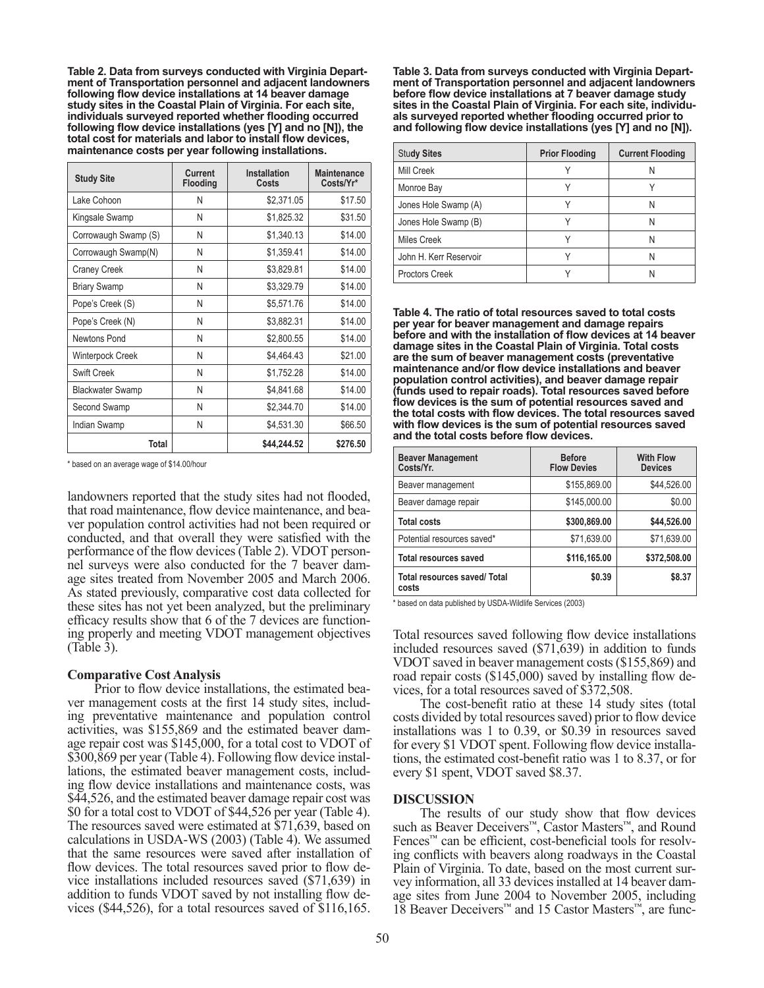**Table 2. Data from surveys conducted with Virginia Department of Transportation personnel and adjacent landowners following flow device installations at 14 beaver damage study sites in the Coastal Plain of Virginia. For each site, individuals surveyed reported whether flooding occurred following flow device installations (yes [Y] and no [N]), the total cost for materials and labor to install flow devices, maintenance costs per year following installations.** 

| <b>Study Site</b>       | Current<br><b>Flooding</b> | Installation<br>Costs | <b>Maintenance</b><br>Costs/Yr* |
|-------------------------|----------------------------|-----------------------|---------------------------------|
| Lake Cohoon             | N                          | \$2,371.05            | \$17.50                         |
| Kingsale Swamp          | N                          | \$1,825.32            | \$31.50                         |
| Corrowaugh Swamp (S)    | N                          | \$1,340.13            | \$14.00                         |
| Corrowaugh Swamp(N)     | Ν                          | \$1,359.41            | \$14.00                         |
| Craney Creek            | N                          | \$3,829.81            | \$14.00                         |
| <b>Briary Swamp</b>     | N                          | \$3,329.79            | \$14.00                         |
| Pope's Creek (S)        | N                          | \$5,571.76            | \$14.00                         |
| Pope's Creek (N)        | Ν                          | \$3,882.31            | \$14.00                         |
| Newtons Pond            | N                          | \$2,800.55            | \$14.00                         |
| Winterpock Creek        | N                          | \$4,464.43            | \$21.00                         |
| <b>Swift Creek</b>      | N                          | \$1,752.28            | \$14.00                         |
| <b>Blackwater Swamp</b> | Ν                          | \$4,841.68            | \$14.00                         |
| Second Swamp            | N                          | \$2.344.70            | \$14.00                         |
| Indian Swamp            | N                          | \$4,531.30            | \$66.50                         |
| Total                   |                            | \$44.244.52           | \$276.50                        |

\* based on an average wage of \$14.00/hour

landowners reported that the study sites had not flooded, that road maintenance, flow device maintenance, and beaver population control activities had not been required or conducted, and that overall they were satisfied with the performance of the flow devices (Table 2). VDOT person-<br>nel surveys were also conducted for the 7 beaver dam-<br>age sites treated from November 2005 and March 2006. As stated previously, comparative cost data collected for these sites has not yet been analyzed, but the preliminary efficacy results show that 6 of the 7 devices are function- ing properly and meeting VDOT management objectives (Table 3).

#### **Comparative Cost Analysis**

Prior to flow device installations, the estimated beaver management costs at the first 14 study sites, including preventative maintenance and population control activities, was \$155,869 and the estimated beaver damage repair cost was \$145,000, for a total cost to VDOT of \$300,869 per year (Table 4). Following flow device installations, the estimated beaver management costs, includ- ing flow device installations and maintenance costs, was \$44,526, and the estimated beaver damage repair cost was \$0 for a total cost to VDOT of \$44,526 per year (Table 4). The resources saved were estimated at \$71,639, based on calculations in USDA-WS (2003) (Table 4). We assumed that the same resources were saved after installation of flow devices. The total resources saved prior to flow device installations included resources saved (\$71,639) in addition to funds VDOT saved by not installing flow devices (\$44,526), for a total resources saved of \$116,165.

**Table 3. Data from surveys conducted with Virginia Department of Transportation personnel and adjacent landowners before flow device installations at 7 beaver damage study sites in the Coastal Plain of Virginia. For each site, individuals surveyed reported whether flooding occurred prior to and following flow device installations (yes [Y] and no [N]).**

| <b>Study Sites</b>     | <b>Prior Flooding</b> | <b>Current Flooding</b> |
|------------------------|-----------------------|-------------------------|
| Mill Creek             |                       |                         |
| Monroe Bay             |                       |                         |
| Jones Hole Swamp (A)   |                       |                         |
| Jones Hole Swamp (B)   |                       | N                       |
| Miles Creek            |                       | N                       |
| John H. Kerr Reservoir |                       |                         |
| <b>Proctors Creek</b>  |                       |                         |

**Table 4. The ratio of total resources saved to total costs per year for beaver management and damage repairs before and with the installation of flow devices at 14 beaver damage sites in the Coastal Plain of Virginia. Total costs are the sum of beaver management costs (preventative maintenance and/or flow device installations and beaver population control activities), and beaver damage repair (funds used to repair roads). Total resources saved before flow devices is the sum of potential resources saved and the total costs with flow devices. The total resources saved with flow devices is the sum of potential resources saved and the total costs before flow devices.**

| <b>Beaver Management</b><br>Costs/Yr.        | <b>Before</b><br><b>Flow Devies</b> | <b>With Flow</b><br><b>Devices</b> |
|----------------------------------------------|-------------------------------------|------------------------------------|
| Beaver management                            | \$155,869.00                        | \$44,526.00                        |
| Beaver damage repair                         | \$145,000.00                        | \$0.00                             |
| <b>Total costs</b>                           | \$300,869.00                        | \$44,526.00                        |
| Potential resources saved*                   | \$71,639.00                         | \$71,639.00                        |
| <b>Total resources saved</b>                 | \$116,165.00                        | \$372,508.00                       |
| <b>Total resources saved/ Total</b><br>costs | \$0.39                              | \$8.37                             |

based on data published by USDA-Wildlife Services (2003)

Total resources saved following flow device installations included resources saved (\$71,639) in addition to funds VDOT saved in beaver management costs (\$155,869) and road repair costs (\$145,000) saved by installing flow devices, for a total resources saved of \$372,508.

The cost-benefit ratio at these 14 study sites (total costs divided by total resources saved) prior to flow device installations was 1 to 0.39, or \$0.39 in resources saved for every \$1 VDOT spent. Following flow device installations, the estimated cost-benefit ratio was 1 to 8.37, or for every \$1 spent, VDOT saved \$8.37.

#### **DISCUSSION**

The results of our study show that flow devices such as Beaver Deceivers™, Castor Masters™, and Round Fences<sup>™</sup> can be efficient, cost-beneficial tools for resolving conflicts with beavers along roadways in the Coastal Plain of Virginia. To date, based on the most current survey information, all 33 devices installed at 14 beaver damage sites from June 2004 to November 2005, including 18 Beaver Deceivers™ and 15 Castor Masters™, are func-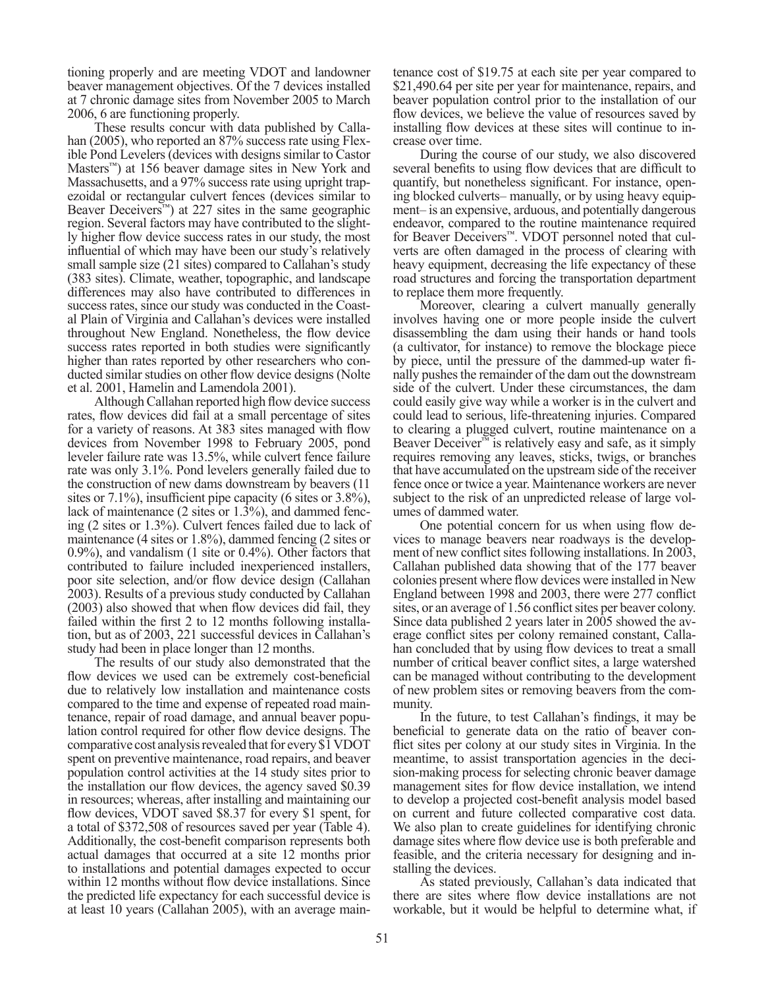tioning properly and are meeting VDOT and landowner beaver management objectives. Of the 7 devices installed at 7 chronic damage sites from November 2005 to March 2006, 6 are functioning properly.

These results concur with data published by Callahan (2005), who reported an 87% success rate using Flexible Pond Levelers (devices with designs similar to Castor Masters<sup>™</sup>) at 156 beaver damage sites in New York and Massachusetts, and a 97% success rate using upright trapezoidal or rectangular culvert fences (devices similar to Beaver Deceivers<sup>™</sup>) at 227 sites in the same geographic region. Several factors may have contributed to the slightly higher flow device success rates in our study, the most influential of which may have been our study's relatively small sample size (21 sites) compared to Callahan's study (383 sites). Climate, weather, topographic, and landscape differences may also have contributed to differences in success rates, since our study was conducted in the Coastal Plain of Virginia and Callahan's devices were installed throughout New England. Nonetheless, the flow device success rates reported in both studies were significantly higher than rates reported by other researchers who conducted similar studies on other flow device designs (Nolte et al. 2001, Hamelin and Lamendola 2001).

Although Callahan reported high flow device success rates, flow devices did fail at a small percentage of sites for a variety of reasons. At 383 sites managed with flow devices from November 1998 to February 2005, pond leveler failure rate was 13.5%, while culvert fence failure rate was only 3.1%. Pond levelers generally failed due to the construction of new dams downstream by beavers (11 sites or 7.1%), insufficient pipe capacity (6 sites or 3.8%), lack of maintenance (2 sites or 1.3%), and dammed fencing (2 sites or 1.3%). Culvert fences failed due to lack of maintenance (4 sites or 1.8%), dammed fencing (2 sites or 0.9%), and vandalism (1 site or 0.4%). Other factors that contributed to failure included inexperienced installers, poor site selection, and/or flow device design (Callahan 2003). Results of a previous study conducted by Callahan (2003) also showed that when flow devices did fail, they failed within the first 2 to 12 months following installa- tion, but as of 2003, 221 successful devices in Callahan's study had been in place longer than 12 months.

The results of our study also demonstrated that the flow devices we used can be extremely cost-beneficial due to relatively low installation and maintenance costs compared to the time and expense of repeated road maintenance, repair of road damage, and annual beaver population control required for other flow device designs. The comparative cost analysis revealed that for every \$1 VDOT spent on preventive maintenance, road repairs, and beaver population control activities at the 14 study sites prior to the installation our flow devices, the agency saved \$0.39 in resources; whereas, after installing and maintaining our flow devices, VDOT saved \$8.37 for every \$1 spent, for a total of \$372,508 of resources saved per year (Table 4). Additionally, the cost-benefit comparison represents both actual damages that occurred at a site 12 months prior to installations and potential damages expected to occur within 12 months without flow device installations. Since the predicted life expectancy for each successful device is at least 10 years (Callahan 2005), with an average maintenance cost of \$19.75 at each site per year compared to \$21,490.64 per site per year for maintenance, repairs, and beaver population control prior to the installation of our flow devices, we believe the value of resources saved by installing flow devices at these sites will continue to increase over time.

During the course of our study, we also discovered several benefits to using flow devices that are difficult to quantify, but nonetheless significant. For instance, opening blocked culverts– manually, or by using heavy equipment– is an expensive, arduous, and potentially dangerous endeavor, compared to the routine maintenance required for Beaver Deceivers™. VDOT personnel noted that culverts are often damaged in the process of clearing with heavy equipment, decreasing the life expectancy of these road structures and forcing the transportation department to replace them more frequently.

Moreover, clearing a culvert manually generally involves having one or more people inside the culvert disassembling the dam using their hands or hand tools (a cultivator, for instance) to remove the blockage piece by piece, until the pressure of the dammed-up water finally pushes the remainder of the dam out the downstream side of the culvert. Under these circumstances, the dam could easily give way while a worker is in the culvert and could lead to serious, life-threatening injuries. Compared to clearing a plugged culvert, routine maintenance on a Beaver Deceiver™ is relatively easy and safe, as it simply requires removing any leaves, sticks, twigs, or branches that have accumulated on the upstream side of the receiver fence once or twice a year. Maintenance workers are never subject to the risk of an unpredicted release of large volumes of dammed water.

One potential concern for us when using flow devices to manage beavers near roadways is the development of new conflict sites following installations. In 2003, Callahan published data showing that of the 177 beaver colonies present where flow devices were installed in New England between 1998 and 2003, there were 277 conflict sites, or an average of 1.56 conflict sites per beaver colony. Since data published 2 years later in 2005 showed the average conflict sites per colony remained constant, Calla-<br>han concluded that by using flow devices to treat a small number of critical beaver conflict sites, a large watershed can be managed without contributing to the development of new problem sites or removing beavers from the community.

In the future, to test Callahan's findings, it may be beneficial to generate data on the ratio of beaver conflict sites per colony at our study sites in Virginia. In the meantime, to assist transportation agencies in the deci- sion-making process for selecting chronic beaver damage management sites for flow device installation, we intend to develop a projected cost-benefit analysis model based on current and future collected comparative cost data. We also plan to create guidelines for identifying chronic damage sites where flow device use is both preferable and feasible, and the criteria necessary for designing and installing the devices.

As stated previously, Callahan's data indicated that there are sites where flow device installations are not workable, but it would be helpful to determine what, if